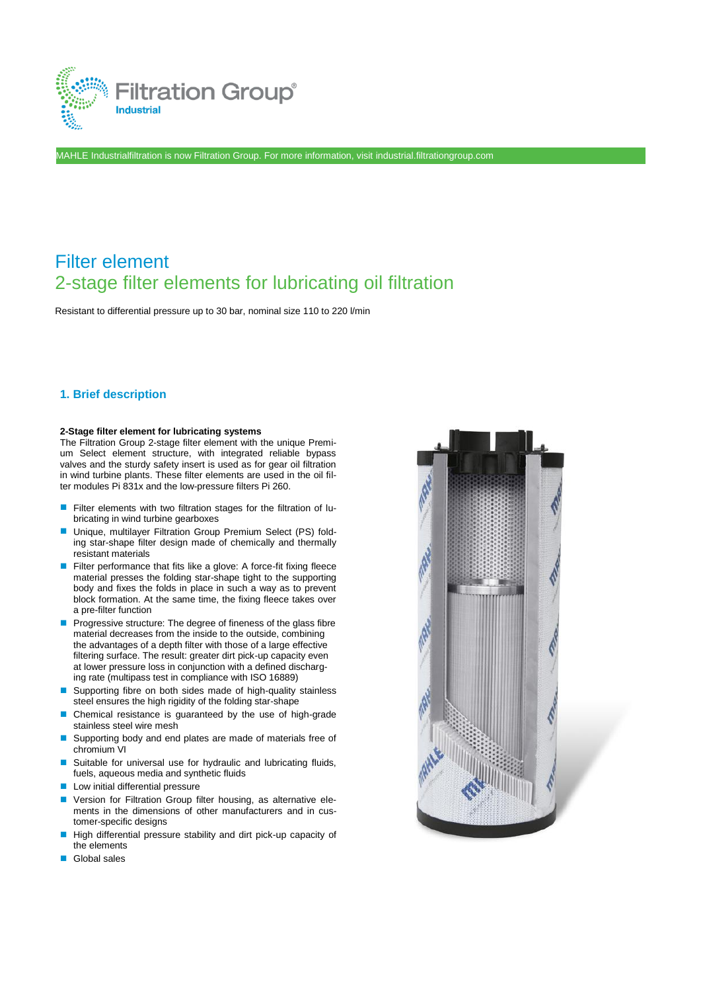

MAHLE Industrialfiltration is now Filtration Group. For more information, visit [industrial.filtrationgroup.com](http://www.fluid.filtrationgroup.com/)

# Filter element 2-stage filter elements for lubricating oil filtration

Resistant to differential pressure up to 30 bar, nominal size 110 to 220 l/min

# **1. Brief description**

### **2-Stage filter element for lubricating systems**

The Filtration Group 2-stage filter element with the unique Premium Select element structure, with integrated reliable bypass valves and the sturdy safety insert is used as for gear oil filtration in wind turbine plants. These filter elements are used in the oil filter modules Pi 831x and the low-pressure filters Pi 260.

- Filter elements with two filtration stages for the filtration of lubricating in wind turbine gearboxes
- Unique, multilayer Filtration Group Premium Select (PS) folding star-shape filter design made of chemically and thermally resistant materials
- Filter performance that fits like a glove: A force-fit fixing fleece material presses the folding star-shape tight to the supporting body and fixes the folds in place in such a way as to prevent block formation. At the same time, the fixing fleece takes over a pre-filter function
- Progressive structure: The degree of fineness of the glass fibre material decreases from the inside to the outside, combining the advantages of a depth filter with those of a large effective filtering surface. The result: greater dirt pick-up capacity even at lower pressure loss in conjunction with a defined discharging rate (multipass test in compliance with ISO 16889)
- Supporting fibre on both sides made of high-quality stainless steel ensures the high rigidity of the folding star-shape
- Chemical resistance is guaranteed by the use of high-grade stainless steel wire mesh
- Supporting body and end plates are made of materials free of chromium VI
- Suitable for universal use for hydraulic and lubricating fluids, fuels, aqueous media and synthetic fluids
- Low initial differential pressure
- Version for Filtration Group filter housing, as alternative elements in the dimensions of other manufacturers and in customer-specific designs
- High differential pressure stability and dirt pick-up capacity of the elements
- Global sales

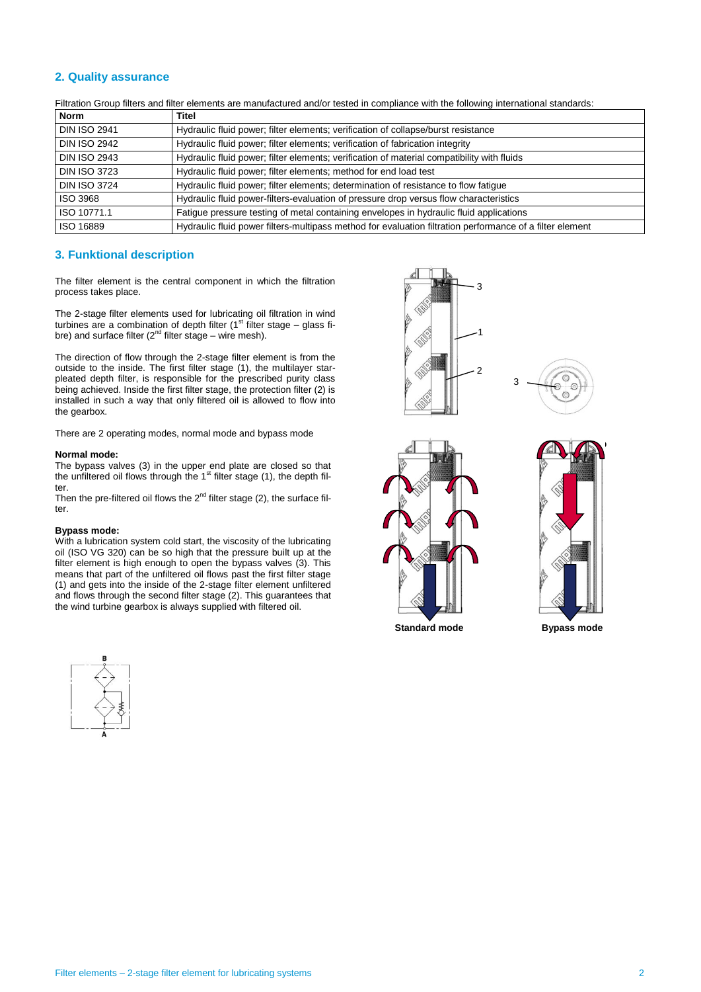## **2. Quality assurance**

Filtration Group filters and filter elements are manufactured and/or tested in compliance with the following international standards:

| <b>Norm</b>         | <b>Titel</b>                                                                                             |
|---------------------|----------------------------------------------------------------------------------------------------------|
| <b>DIN ISO 2941</b> | Hydraulic fluid power; filter elements; verification of collapse/burst resistance                        |
| <b>DIN ISO 2942</b> | Hydraulic fluid power; filter elements; verification of fabrication integrity                            |
| <b>DIN ISO 2943</b> | Hydraulic fluid power; filter elements; verification of material compatibility with fluids               |
| <b>DIN ISO 3723</b> | Hydraulic fluid power; filter elements; method for end load test                                         |
| <b>DIN ISO 3724</b> | Hydraulic fluid power; filter elements; determination of resistance to flow fatigue                      |
| ISO 3968            | Hydraulic fluid power-filters-evaluation of pressure drop versus flow characteristics                    |
| ISO 10771.1         | Fatigue pressure testing of metal containing envelopes in hydraulic fluid applications                   |
| ISO 16889           | Hydraulic fluid power filters-multipass method for evaluation filtration performance of a filter element |

## **3. Funktional description**

The filter element is the central component in which the filtration process takes place.

The 2-stage filter elements used for lubricating oil filtration in wind turbines are a combination of depth filter ( $1<sup>st</sup>$  filter stage – glass fibre) and surface filter  $(2<sup>nd</sup>$  filter stage – wire mesh).

The direction of flow through the 2-stage filter element is from the outside to the inside. The first filter stage (1), the multilayer starpleated depth filter, is responsible for the prescribed purity class being achieved. Inside the first filter stage, the protection filter (2) is installed in such a way that only filtered oil is allowed to flow into the gearbox.

There are 2 operating modes, normal mode and bypass mode

#### **Normal mode:**

The bypass valves (3) in the upper end plate are closed so that the unfiltered oil flows through the 1<sup>st</sup> filter stage (1), the depth filter.

Then the pre-filtered oil flows the  $2^{nd}$  filter stage (2), the surface filter.

#### **Bypass mode:**

With a lubrication system cold start, the viscosity of the lubricating oil (ISO VG 320) can be so high that the pressure built up at the filter element is high enough to open the bypass valves (3). This means that part of the unfiltered oil flows past the first filter stage (1) and gets into the inside of the 2-stage filter element unfiltered and flows through the second filter stage (2). This guarantees that the wind turbine gearbox is always supplied with filtered oil.











**Standard mode Bypass mode**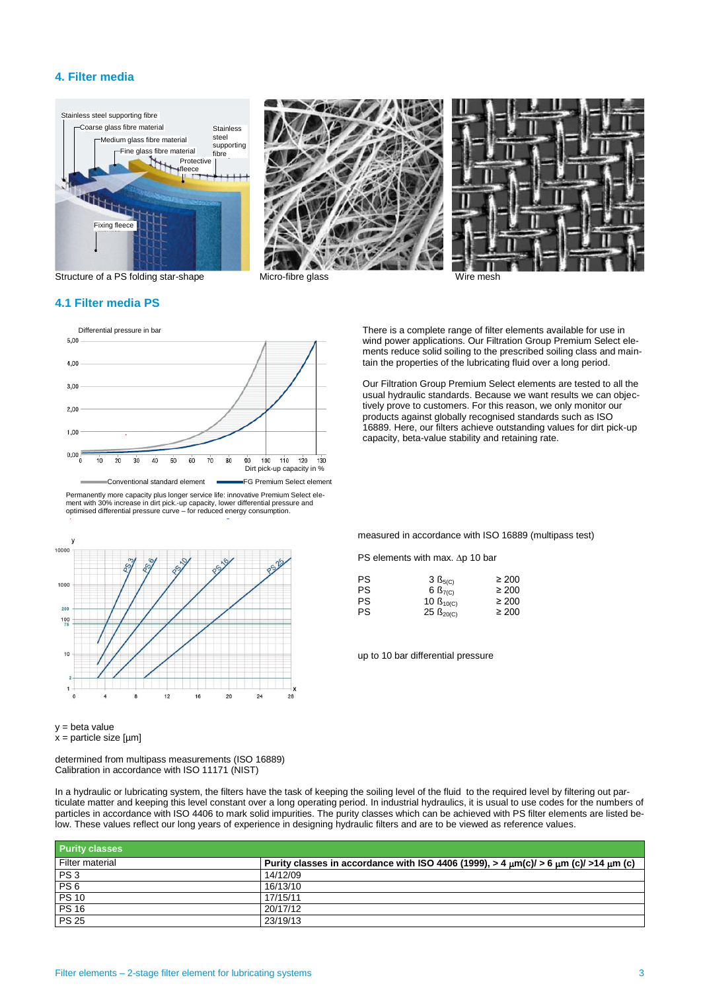## **4. Filter media**







Structure of a PS folding star-shape Micro-fibre glass Wire mesh

## **4.1 Filter media PS**



Permanently more capacity plus longer service life: innovative Premium Select ele-ment with 30% increase in dirt pick.-up capacity, lower differential pressure and optimised differential pressure curve – for reduced energy consumption.



y = beta value  $x =$  particle size [ $\mu$ m]

determined from multipass measurements (ISO 16889) Calibration in accordance with ISO 11171 (NIST)

In a hydraulic or lubricating system, the filters have the task of keeping the soiling level of the fluid to the required level by filtering out particulate matter and keeping this level constant over a long operating period. In industrial hydraulics, it is usual to use codes for the numbers of particles in accordance with ISO 4406 to mark solid impurities. The purity classes which can be achieved with PS filter elements are listed below. These values reflect our long years of experience in designing hydraulic filters and are to be viewed as reference values.

| <b>Purity classes</b> |                                                                                      |
|-----------------------|--------------------------------------------------------------------------------------|
| Filter material       | Purity classes in accordance with ISO 4406 (1999), > 4 μm(c)/ > 6 μm (c)/ >14 μm (c) |
| PS <sub>3</sub>       | 14/12/09                                                                             |
| PS <sub>6</sub>       | 16/13/10                                                                             |
| <b>PS 10</b>          | 17/15/11                                                                             |
| <b>PS 16</b>          | 20/17/12                                                                             |
| <b>PS 25</b>          | 23/19/13                                                                             |

There is a complete range of filter elements available for use in wind power applications. Our Filtration Group Premium Select elements reduce solid soiling to the prescribed soiling class and maintain the properties of the lubricating fluid over a long period.

Our Filtration Group Premium Select elements are tested to all the usual hydraulic standards. Because we want results we can objectively prove to customers. For this reason, we only monitor our products against globally recognised standards such as ISO 16889. Here, our filters achieve outstanding values for dirt pick-up capacity, beta-value stability and retaining rate.

measured in accordance with ISO 16889 (multipass test)

PS elements with max.  $\Delta p$  10 bar

| $3 \text{ B}_{5(C)}$ | $\geq 200$                 |
|----------------------|----------------------------|
| 6 $B_{7(C)}$         | $\geq 200$                 |
| 10 $B_{10(C)}$       | $\geq 200$                 |
|                      | $\geq 200$                 |
|                      | $25 \text{ }\beta_{20(C)}$ |

up to 10 bar differential pressure